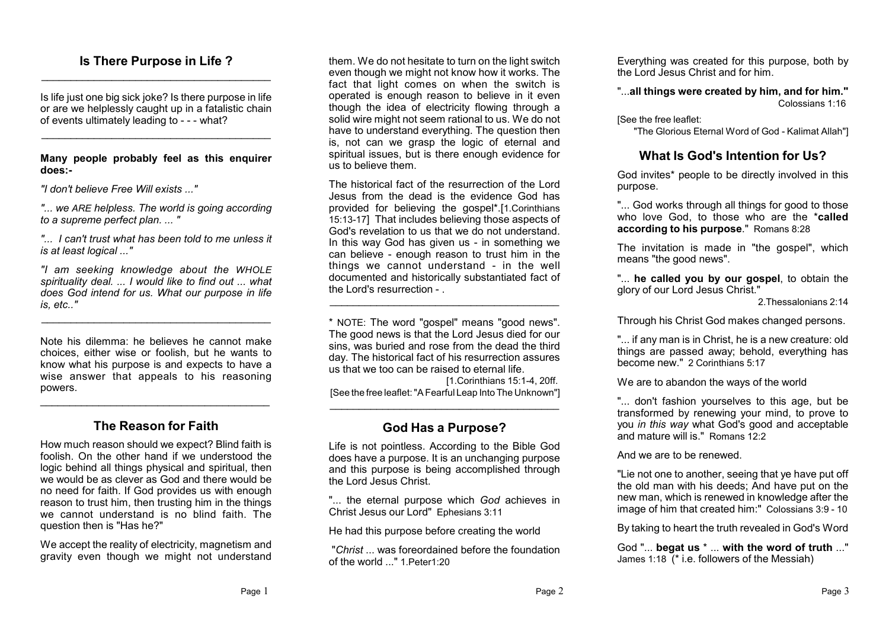### **Is There Purpose in Life ?** \_\_\_\_\_\_\_\_\_\_\_\_\_\_\_\_\_\_\_\_\_\_\_\_\_\_\_\_\_\_\_\_\_\_\_\_\_\_\_

Is life just one big sick joke? Is there purpose in life or are we helplessly caught up in a fatalistic chain of events ultimately leading to - - - what?

\_\_\_\_\_\_\_\_\_\_\_\_\_\_\_\_\_\_\_\_\_\_\_\_\_\_\_\_\_\_\_\_\_\_\_\_\_\_\_

**Many people probably feel as this enquirer does:-**

*"I don't believe Free Will exists ..."*

*"... we ARE helpless. The world is going according to a supreme perfect plan. ... "*

*"... I can't trust what has been told to me unless it is at least logical ..."*

*"I am seeking knowledge about the WHOLE spirituality deal. ... I would like to find out ... what does God intend for us. What our purpose in life is, etc.."*

\_\_\_\_\_\_\_\_\_\_\_\_\_\_\_\_\_\_\_\_\_\_\_\_\_\_\_\_\_\_\_\_\_\_\_\_\_\_\_

Note his dilemma: he believes he cannot make choices, either wise or foolish, but he wants to know what his purpose is and expects to have a wise answer that appeals to his reasoning powers.

# **The Reason for Faith**

\_\_\_\_\_\_\_\_\_\_\_\_\_\_\_\_\_\_\_\_\_\_\_\_\_\_\_\_\_\_\_\_\_\_\_\_\_\_\_

How much reason should we expect? Blind faith is foolish. On the other hand if we understood the logic behind all things physical and spiritual, then we would be as clever as God and there would be no need for faith. If God provides us with enough reason to trust him, then trusting him in the things we cannot understand is no blind faith. The question then is "Has he?"

We accept the reality of electricity, magnetism and gravity even though we might not understand

them. We do not hesitate to turn on the light switch even though we might not know how it works. The fact that light comes on when the switch is operated is enough reason to believe in it even though the idea of electricity flowing through a solid wire might not seem rational to us. We do not have to understand everything. The question then is, not can we grasp the logic of eternal and spiritual issues, but is there enough evidence for us to believe them.

The historical fact of the resurrection of the Lord Jesus from the dead is the evidence God has provided for believing the gospel\*.[1.Corinthians 15:13-17] That includes believing those aspects of God's revelation to us that we do not understand. In this way God has given us - in something we can believe - enough reason to trust him in the things we cannot understand - in the well documented and historically substantiated fact of the Lord's resurrection -

\* NOTE: The word "gospel" means "good news". The good news is that the Lord Jesus died for our sins, was buried and rose from the dead the third day. The historical fact of his resurrection assures us that we too can be raised to eternal life.

\_\_\_\_\_\_\_\_\_\_\_\_\_\_\_\_\_\_\_\_\_\_\_\_\_\_\_\_\_\_\_\_\_\_\_\_\_\_\_

[1.Corinthians 15:1-4, 20ff. [See the free leaflet: "A Fearful Leap Into The Unknown"] \_\_\_\_\_\_\_\_\_\_\_\_\_\_\_\_\_\_\_\_\_\_\_\_\_\_\_\_\_\_\_\_\_\_\_\_\_\_\_

# **God Has a Purpose?**

Life is not pointless. According to the Bible God does have a purpose. It is an unchanging purpose and this purpose is being accomplished through the Lord Jesus Christ.

"... the eternal purpose which *God* achieves in Christ Jesus our Lord" Ephesians 3:11

He had this purpose before creating the world

"*Christ* ... was foreordained before the foundation of the world ..." 1.Peter1:20

Everything was created for this purpose, both by the Lord Jesus Christ and for him.

"...**all things were created by him, and for him."** Colossians 1:16

[See the free leaflet:

"The Glorious Eternal Word of God - Kalimat Allah"]

## **What Is God's Intention for Us?**

God invites\* people to be directly involved in this purpose.

"... God works through all things for good to those who love God, to those who are the \***called according to his purpose**." Romans 8:28

The invitation is made in "the gospel", which means "the good news".

"... **he called you by our gospel**, to obtain the glory of our Lord Jesus Christ."

2.Thessalonians 2:14

Through his Christ God makes changed persons.

"... if any man is in Christ, he is a new creature: old things are passed away; behold, everything has become new." 2 Corinthians 5:17

We are to abandon the ways of the world

"... don't fashion yourselves to this age, but be transformed by renewing your mind, to prove to you *in this way* what God's good and acceptable and mature will is." Romans 12:2

And we are to be renewed.

"Lie not one to another, seeing that ye have put off the old man with his deeds; And have put on the new man, which is renewed in knowledge after the image of him that created him:" Colossians 3:9 - 10

By taking to heart the truth revealed in God's Word

God "... **begat us** \* ... **with the word of truth** ..." James 1:18 (\* i.e. followers of the Messiah)